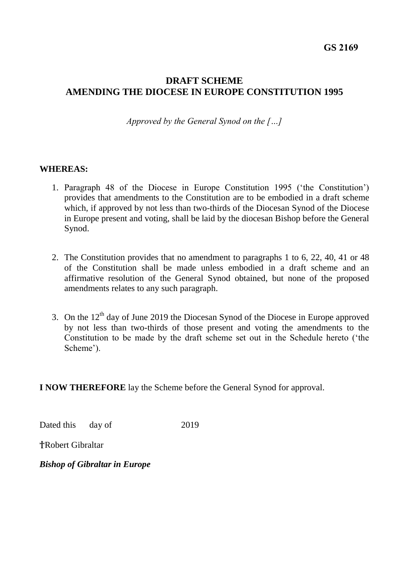# **DRAFT SCHEME AMENDING THE DIOCESE IN EUROPE CONSTITUTION 1995**

*Approved by the General Synod on the […]*

#### **WHEREAS:**

- 1. Paragraph 48 of the Diocese in Europe Constitution 1995 ('the Constitution') provides that amendments to the Constitution are to be embodied in a draft scheme which, if approved by not less than two-thirds of the Diocesan Synod of the Diocese in Europe present and voting, shall be laid by the diocesan Bishop before the General Synod.
- 2. The Constitution provides that no amendment to paragraphs 1 to 6, 22, 40, 41 or 48 of the Constitution shall be made unless embodied in a draft scheme and an affirmative resolution of the General Synod obtained, but none of the proposed amendments relates to any such paragraph.
- 3. On the  $12<sup>th</sup>$  day of June 2019 the Diocesan Synod of the Diocese in Europe approved by not less than two-thirds of those present and voting the amendments to the Constitution to be made by the draft scheme set out in the Schedule hereto ('the Scheme').

**I NOW THEREFORE** lay the Scheme before the General Synod for approval.

Dated this day of 2019

†Robert Gibraltar

*Bishop of Gibraltar in Europe*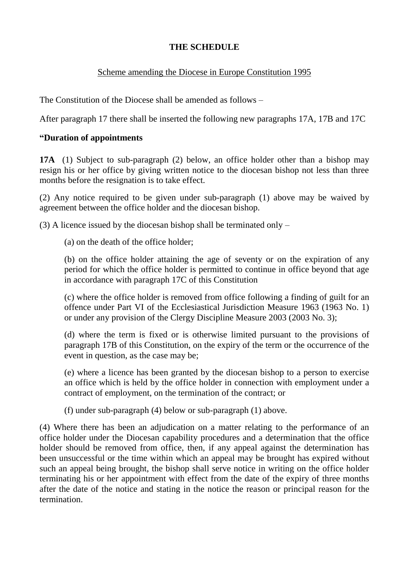# **THE SCHEDULE**

# Scheme amending the Diocese in Europe Constitution 1995

The Constitution of the Diocese shall be amended as follows –

After paragraph 17 there shall be inserted the following new paragraphs 17A, 17B and 17C

#### **"Duration of appointments**

**17A** (1) Subject to sub-paragraph (2) below, an office holder other than a bishop may resign his or her office by giving written notice to the diocesan bishop not less than three months before the resignation is to take effect.

(2) Any notice required to be given under sub-paragraph (1) above may be waived by agreement between the office holder and the diocesan bishop.

(3) A licence issued by the diocesan bishop shall be terminated only –

(a) on the death of the office holder;

(b) on the office holder attaining the age of seventy or on the expiration of any period for which the office holder is permitted to continue in office beyond that age in accordance with paragraph 17C of this Constitution

(c) where the office holder is removed from office following a finding of guilt for an offence under Part VI of the Ecclesiastical Jurisdiction Measure 1963 (1963 No. 1) or under any provision of the Clergy Discipline Measure 2003 (2003 No. 3);

(d) where the term is fixed or is otherwise limited pursuant to the provisions of paragraph 17B of this Constitution, on the expiry of the term or the occurrence of the event in question, as the case may be;

(e) where a licence has been granted by the diocesan bishop to a person to exercise an office which is held by the office holder in connection with employment under a contract of employment, on the termination of the contract; or

(f) under sub-paragraph (4) below or sub-paragraph (1) above.

(4) Where there has been an adjudication on a matter relating to the performance of an office holder under the Diocesan capability procedures and a determination that the office holder should be removed from office, then, if any appeal against the determination has been unsuccessful or the time within which an appeal may be brought has expired without such an appeal being brought, the bishop shall serve notice in writing on the office holder terminating his or her appointment with effect from the date of the expiry of three months after the date of the notice and stating in the notice the reason or principal reason for the termination.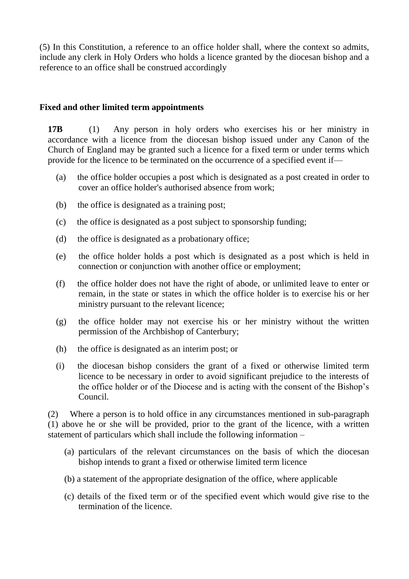(5) In this Constitution, a reference to an office holder shall, where the context so admits, include any clerk in Holy Orders who holds a licence granted by the diocesan bishop and a reference to an office shall be construed accordingly

#### **Fixed and other limited term appointments**

**17B** (1) Any person in holy orders who exercises his or her ministry in accordance with a licence from the diocesan bishop issued under any Canon of the Church of England may be granted such a licence for a fixed term or under terms which provide for the licence to be terminated on the occurrence of a specified event if—

- (a) the office holder occupies a post which is designated as a post created in order to cover an office holder's authorised absence from work;
- (b) the office is designated as a training post;
- (c) the office is designated as a post subject to sponsorship funding;
- (d) the office is designated as a probationary office;
- (e) the office holder holds a post which is designated as a post which is held in connection or conjunction with another office or employment;
- (f) the office holder does not have the right of abode, or unlimited leave to enter or remain, in the state or states in which the office holder is to exercise his or her ministry pursuant to the relevant licence;
- (g) the office holder may not exercise his or her ministry without the written permission of the Archbishop of Canterbury;
- (h) the office is designated as an interim post; or
- (i) the diocesan bishop considers the grant of a fixed or otherwise limited term licence to be necessary in order to avoid significant prejudice to the interests of the office holder or of the Diocese and is acting with the consent of the Bishop's Council.

(2) Where a person is to hold office in any circumstances mentioned in sub-paragraph (1) above he or she will be provided, prior to the grant of the licence, with a written statement of particulars which shall include the following information –

- (a) particulars of the relevant circumstances on the basis of which the diocesan bishop intends to grant a fixed or otherwise limited term licence
- (b) a statement of the appropriate designation of the office, where applicable
- (c) details of the fixed term or of the specified event which would give rise to the termination of the licence.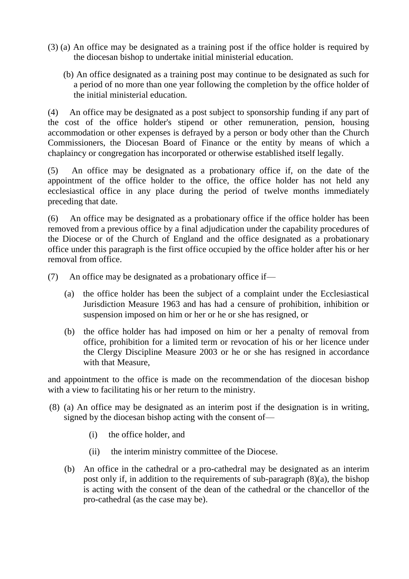- (3) (a) An office may be designated as a training post if the office holder is required by the diocesan bishop to undertake initial ministerial education.
	- (b) An office designated as a training post may continue to be designated as such for a period of no more than one year following the completion by the office holder of the initial ministerial education.

(4) An office may be designated as a post subject to sponsorship funding if any part of the cost of the office holder's stipend or other remuneration, pension, housing accommodation or other expenses is defrayed by a person or body other than the Church Commissioners, the Diocesan Board of Finance or the entity by means of which a chaplaincy or congregation has incorporated or otherwise established itself legally.

(5) An office may be designated as a probationary office if, on the date of the appointment of the office holder to the office, the office holder has not held any ecclesiastical office in any place during the period of twelve months immediately preceding that date.

(6) An office may be designated as a probationary office if the office holder has been removed from a previous office by a final adjudication under the capability procedures of the Diocese or of the Church of England and the office designated as a probationary office under this paragraph is the first office occupied by the office holder after his or her removal from office.

- (7) An office may be designated as a probationary office if—
	- (a) the office holder has been the subject of a complaint under the Ecclesiastical Jurisdiction Measure 1963 and has had a censure of prohibition, inhibition or suspension imposed on him or her or he or she has resigned, or
	- (b) the office holder has had imposed on him or her a penalty of removal from office, prohibition for a limited term or revocation of his or her licence under the Clergy Discipline Measure 2003 or he or she has resigned in accordance with that Measure,

and appointment to the office is made on the recommendation of the diocesan bishop with a view to facilitating his or her return to the ministry.

- (8) (a) An office may be designated as an interim post if the designation is in writing, signed by the diocesan bishop acting with the consent of—
	- (i) the office holder, and
	- (ii) the interim ministry committee of the Diocese.
	- (b) An office in the cathedral or a pro-cathedral may be designated as an interim post only if, in addition to the requirements of sub-paragraph (8)(a), the bishop is acting with the consent of the dean of the cathedral or the chancellor of the pro-cathedral (as the case may be).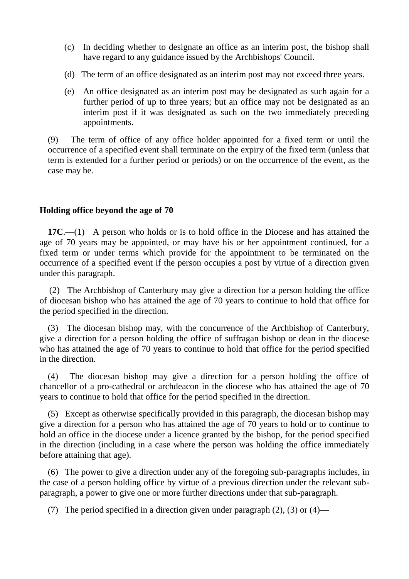- (c) In deciding whether to designate an office as an interim post, the bishop shall have regard to any guidance issued by the Archbishops' Council.
- (d) The term of an office designated as an interim post may not exceed three years.
- (e) An office designated as an interim post may be designated as such again for a further period of up to three years; but an office may not be designated as an interim post if it was designated as such on the two immediately preceding appointments.

(9) The term of office of any office holder appointed for a fixed term or until the occurrence of a specified event shall terminate on the expiry of the fixed term (unless that term is extended for a further period or periods) or on the occurrence of the event, as the case may be.

# **Holding office beyond the age of 70**

**17C**.—(1) A person who holds or is to hold office in the Diocese and has attained the age of 70 years may be appointed, or may have his or her appointment continued, for a fixed term or under terms which provide for the appointment to be terminated on the occurrence of a specified event if the person occupies a post by virtue of a direction given under this paragraph.

(2) The Archbishop of Canterbury may give a direction for a person holding the office of diocesan bishop who has attained the age of 70 years to continue to hold that office for the period specified in the direction.

(3) The diocesan bishop may, with the concurrence of the Archbishop of Canterbury, give a direction for a person holding the office of suffragan bishop or dean in the diocese who has attained the age of 70 years to continue to hold that office for the period specified in the direction.

(4) The diocesan bishop may give a direction for a person holding the office of chancellor of a pro-cathedral or archdeacon in the diocese who has attained the age of 70 years to continue to hold that office for the period specified in the direction.

(5) Except as otherwise specifically provided in this paragraph, the diocesan bishop may give a direction for a person who has attained the age of 70 years to hold or to continue to hold an office in the diocese under a licence granted by the bishop, for the period specified in the direction (including in a case where the person was holding the office immediately before attaining that age).

(6) The power to give a direction under any of the foregoing sub-paragraphs includes, in the case of a person holding office by virtue of a previous direction under the relevant subparagraph, a power to give one or more further directions under that sub-paragraph.

(7) The period specified in a direction given under paragraph (2), (3) or (4)—